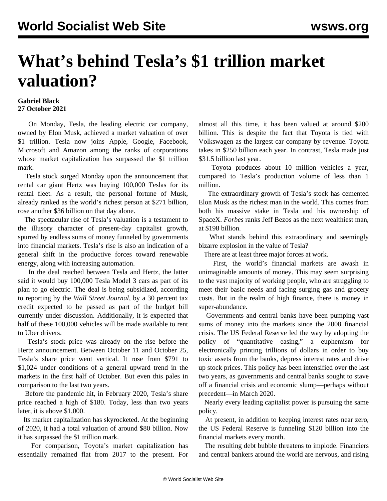## **What's behind Tesla's \$1 trillion market valuation?**

## **Gabriel Black 27 October 2021**

 On Monday, Tesla, the leading electric car company, owned by Elon Musk, achieved a market valuation of over \$1 trillion. Tesla now joins Apple, Google, Facebook, Microsoft and Amazon among the ranks of corporations whose market capitalization has surpassed the \$1 trillion mark.

 Tesla stock surged Monday upon the announcement that rental car giant Hertz was buying 100,000 Teslas for its rental fleet. As a result, the personal fortune of Musk, already ranked as the world's richest person at \$271 billion, rose another \$36 billion on that day alone.

 The spectacular rise of Tesla's valuation is a testament to the illusory character of present-day capitalist growth, spurred by endless sums of money funneled by governments into financial markets. Tesla's rise is also an indication of a general shift in the productive forces toward renewable energy, along with increasing automation.

 In the deal reached between Tesla and Hertz, the latter said it would buy 100,000 Tesla Model 3 cars as part of its plan to go electric. The deal is being subsidized, according to reporting by the *Wall Street Journal*, by a 30 percent tax credit expected to be passed as part of the budget bill currently under discussion. Additionally, it is expected that half of these 100,000 vehicles will be made available to rent to Uber drivers.

 Tesla's stock price was already on the rise before the Hertz announcement. Between October 11 and October 25, Tesla's share price went vertical. It rose from \$791 to \$1,024 under conditions of a general upward trend in the markets in the first half of October. But even this pales in comparison to the last two years.

 Before the pandemic hit, in February 2020, Tesla's share price reached a high of \$180. Today, less than two years later, it is above \$1,000.

 Its market capitalization has skyrocketed. At the beginning of 2020, it had a total valuation of around \$80 billion. Now it has surpassed the \$1 trillion mark.

 For comparison, Toyota's market capitalization has essentially remained flat from 2017 to the present. For almost all this time, it has been valued at around \$200 billion. This is despite the fact that Toyota is tied with Volkswagen as the largest car company by revenue. Toyota takes in \$250 billion each year. In contrast, Tesla made just \$31.5 billion last year.

 Toyota produces about 10 million vehicles a year, compared to Tesla's production volume of less than 1 million.

 The extraordinary growth of Tesla's stock has cemented Elon Musk as the richest man in the world. This comes from both his massive stake in Tesla and his ownership of SpaceX. *Forbes* ranks Jeff Bezos as the next wealthiest man, at \$198 billion.

 What stands behind this extraordinary and seemingly bizarre explosion in the value of Tesla?

There are at least three major forces at work.

 First, the world's financial markets are awash in unimaginable amounts of money. This may seem surprising to the vast majority of working people, who are struggling to meet their basic needs and facing surging gas and grocery costs. But in the realm of high finance, there is money in super-abundance.

 Governments and central banks have been pumping vast sums of money into the markets since the 2008 financial crisis. The US Federal Reserve led the way by adopting the policy of "quantitative easing," a euphemism for electronically printing trillions of dollars in order to buy toxic assets from the banks, depress interest rates and drive up stock prices. This policy has been intensified over the last two years, as governments and central banks sought to stave off a financial crisis and economic slump—perhaps without precedent—in March 2020.

 Nearly every leading capitalist power is pursuing the same policy.

 At present, in addition to keeping interest rates near zero, the US Federal Reserve is funneling \$120 billion into the financial markets every month.

 The resulting debt bubble threatens to implode. Financiers and central bankers around the world are [nervous,](/en/articles/2021/10/19/fina-o19.html) and rising